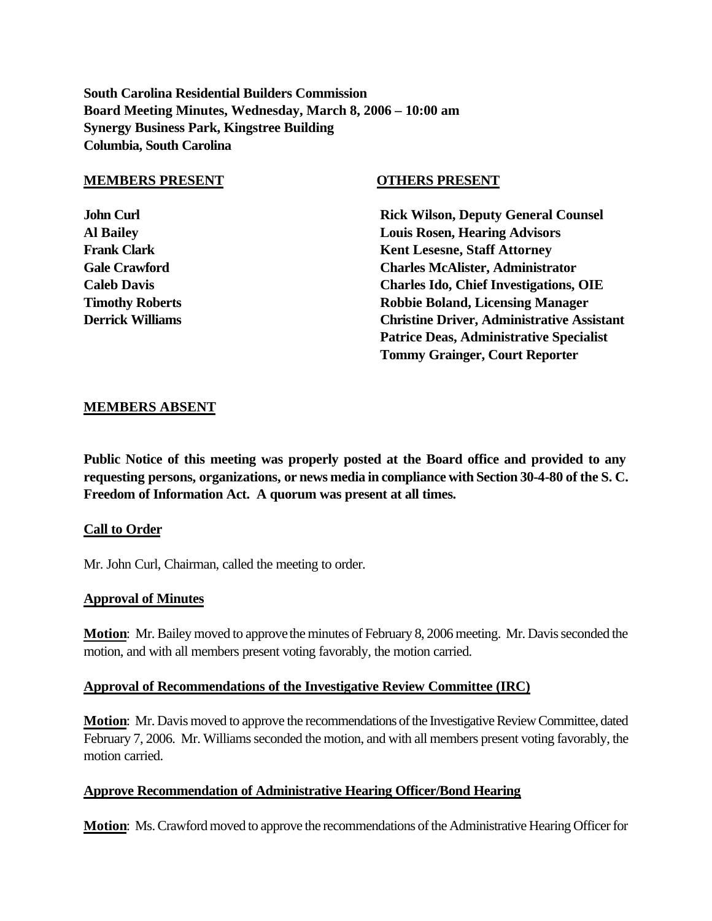**South Carolina Residential Builders Commission Board Meeting Minutes, Wednesday, March 8, 2006 – 10:00 am Synergy Business Park, Kingstree Building Columbia, South Carolina**

#### **MEMBERS PRESENT OTHERS PRESENT**

**John Curl Counsel Counsel Counsel Rick Wilson, Deputy General Counsel Al Bailey Louis Rosen, Hearing Advisors Frank Clark Clark Clark Clark Clark Clark Clark Clark Clark Clark Clark Clark Clark Clark Clark Clark Clark Clark Clark Clark Clark Clark Clark Clark Clark Clark Clark Clark Clark Clark Clark Clark Clark Clark Clark Clark Gale Crawford Charles McAlister, Administrator Caleb Davis Charles Ido, Chief Investigations, OIE Timothy Roberts Theory Allen Robbie Boland, Licensing Manager Derrick Williams Christine Driver, Administrative Assistant Patrice Deas, Administrative Specialist Tommy Grainger, Court Reporter**

## **MEMBERS ABSENT**

**Public Notice of this meeting was properly posted at the Board office and provided to any requesting persons, organizations, or news media in compliance with Section 30-4-80 of the S. C. Freedom of Information Act. A quorum was present at all times.**

## **Call to Order**

Mr. John Curl, Chairman, called the meeting to order.

## **Approval of Minutes**

**Motion**: Mr. Bailey moved to approve the minutes of February 8, 2006 meeting. Mr. Davis seconded the motion, and with all members present voting favorably, the motion carried.

## **Approval of Recommendations of the Investigative Review Committee (IRC)**

**Motion**: Mr. Davis moved to approve the recommendations of the Investigative Review Committee, dated February 7, 2006. Mr. Williams seconded the motion, and with all members present voting favorably, the motion carried.

## **Approve Recommendation of Administrative Hearing Officer/Bond Hearing**

**Motion**: Ms. Crawford moved to approve the recommendations of the Administrative Hearing Officer for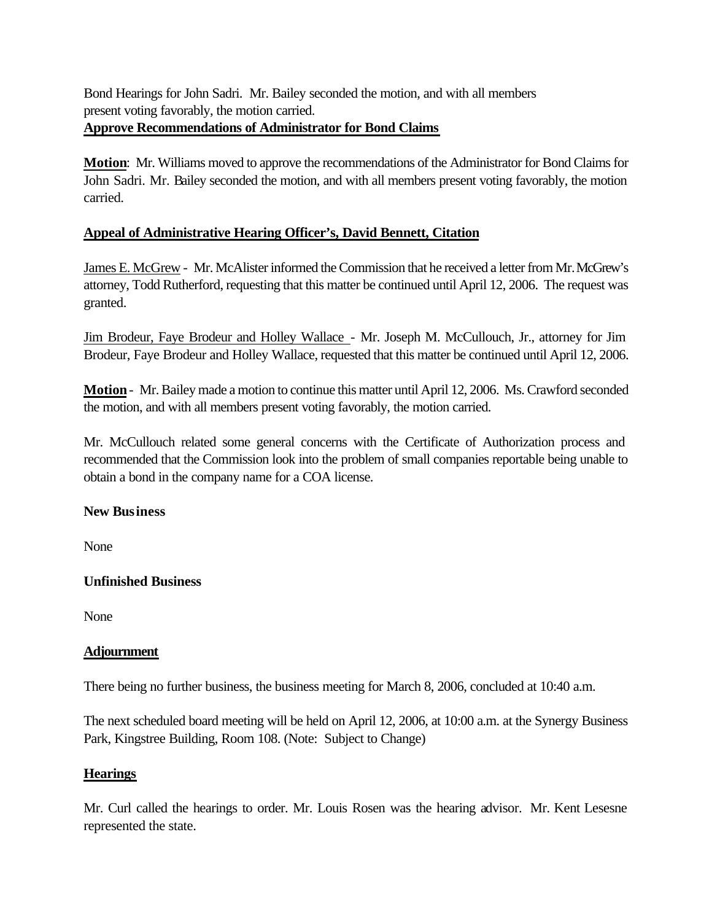Bond Hearings for John Sadri. Mr. Bailey seconded the motion, and with all members present voting favorably, the motion carried. **Approve Recommendations of Administrator for Bond Claims**

**Motion**: Mr. Williams moved to approve the recommendations of the Administrator for Bond Claims for John Sadri. Mr. Bailey seconded the motion, and with all members present voting favorably, the motion carried.

# **Appeal of Administrative Hearing Officer's, David Bennett, Citation**

James E. McGrew - Mr. McAlister informed the Commission that he received a letter from Mr. McGrew's attorney, Todd Rutherford, requesting that this matter be continued until April 12, 2006. The request was granted.

Jim Brodeur, Faye Brodeur and Holley Wallace - Mr. Joseph M. McCullouch, Jr., attorney for Jim Brodeur, Faye Brodeur and Holley Wallace, requested that this matter be continued until April 12, 2006.

**Motion**- Mr. Bailey made a motion to continue this matter until April 12, 2006. Ms. Crawford seconded the motion, and with all members present voting favorably, the motion carried.

Mr. McCullouch related some general concerns with the Certificate of Authorization process and recommended that the Commission look into the problem of small companies reportable being unable to obtain a bond in the company name for a COA license.

# **New Business**

None

# **Unfinished Business**

None

# **Adjournment**

There being no further business, the business meeting for March 8, 2006, concluded at 10:40 a.m.

The next scheduled board meeting will be held on April 12, 2006, at 10:00 a.m. at the Synergy Business Park, Kingstree Building, Room 108. (Note: Subject to Change)

# **Hearings**

Mr. Curl called the hearings to order. Mr. Louis Rosen was the hearing advisor. Mr. Kent Lesesne represented the state.